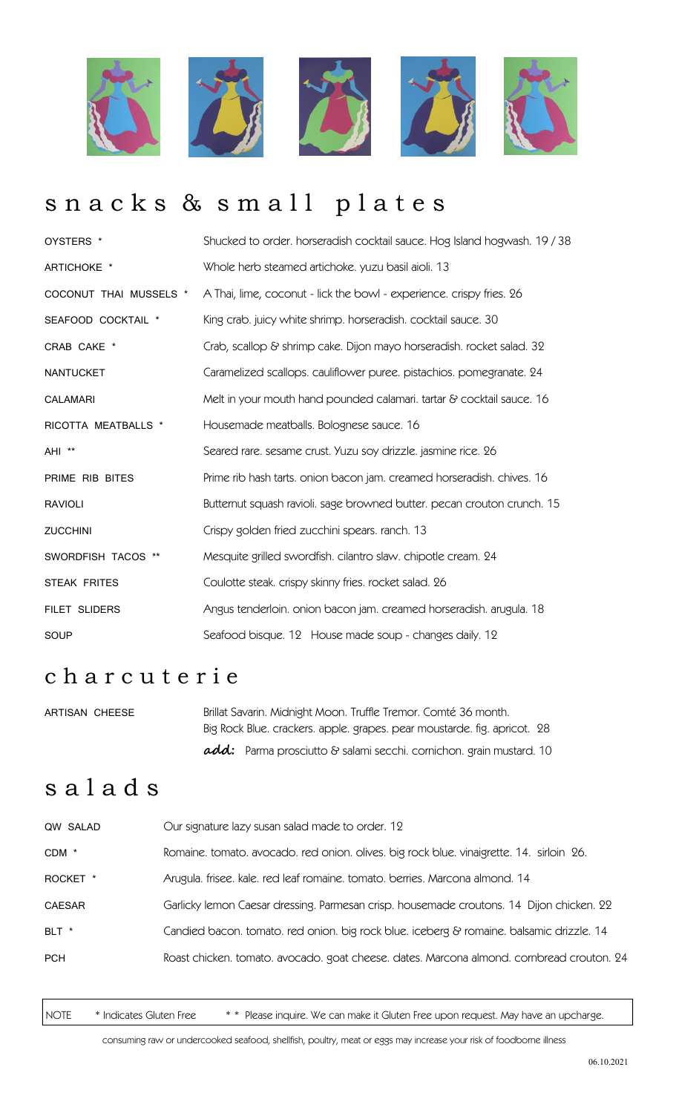

# snacks & small plates

| OYSTERS *              | Shucked to order. horseradish cocktail sauce. Hog Island hogwash. 19 / 38 |
|------------------------|---------------------------------------------------------------------------|
| ARTICHOKE *            | Whole herb steamed artichoke. yuzu basil aioli. 13                        |
| COCONUT THAI MUSSELS * | A Thai, lime, coconut - lick the bowl - experience. crispy fries. 26      |
| SEAFOOD COCKTAIL *     | King crab. juicy white shrimp. horseradish. cocktail sauce. 30            |
| CRAB CAKE *            | Crab, scallop & shrimp cake. Dijon mayo horseradish. rocket salad. 32     |
| <b>NANTUCKET</b>       | Caramelized scallops. cauliflower puree. pistachios. pomegranate. 24      |
| <b>CALAMARI</b>        | Melt in your mouth hand pounded calamari. tartar & cocktail sauce. 16     |
| RICOTTA MEATBALLS *    | Housemade meatballs. Bolognese sauce. 16                                  |
| AHI **                 | Seared rare. sesame crust. Yuzu soy drizzle. jasmine rice. 26             |
| PRIME RIB BITES        | Prime rib hash tarts. onion bacon jam. creamed horseradish. chives. 16    |
| <b>RAVIOLI</b>         | Butternut squash ravioli. sage browned butter. pecan crouton crunch. 15   |
| <b>ZUCCHINI</b>        | Crispy golden fried zucchini spears. ranch. 13                            |
| SWORDFISH TACOS **     | Mesquite grilled swordfish. cilantro slaw. chipotle cream. 24             |
| STEAK FRITES           | Coulotte steak. crispy skinny fries. rocket salad. 26                     |
| FILET SLIDERS          | Angus tenderloin. onion bacon jam. creamed horseradish. arugula. 18       |
| SOUP                   | Seafood bisque. 12 House made soup - changes daily. 12                    |

### c h a r c u t e r i e

| ARTISAN CHEESE | Brillat Savarin. Midnight Moon. Truffle Tremor. Comté 36 month.            |  |
|----------------|----------------------------------------------------------------------------|--|
|                | Big Rock Blue. crackers. apple. grapes. pear moustarde. fig. apricot. 28   |  |
|                | <b>add:</b> Parma prosciutto & salami secchi. cornichon. grain mustard. 10 |  |

# s a l a d s

| QW SALAD      | Our signature lazy susan salad made to order. 12                                         |
|---------------|------------------------------------------------------------------------------------------|
| CDM *         | Romaine. tomato. avocado. red onion. olives. big rock blue. vinaigrette. 14. sirloin 26. |
| ROCKET *      | Arugula. frisee. kale. red leaf romaine. tomato. berries. Marcona almond. 14             |
| <b>CAESAR</b> | Garlicky lemon Caesar dressing. Parmesan crisp. housemade croutons. 14 Dijon chicken. 22 |
| BLT *         | Candied bacon. tomato. red onion. big rock blue. iceberg & romaine. balsamic drizzle. 14 |
| <b>PCH</b>    | Roast chicken. tomato. avocado. goat cheese. dates. Marcona almond. combread crouton. 24 |
|               |                                                                                          |

NOTE \* Indicates Gluten Free \*\* Please inquire. We can make it Gluten Free upon request. May have an upcharge.

consuming raw or undercooked seafood, shellfish, poultry, meat or eggs may increase your risk of foodborne illness